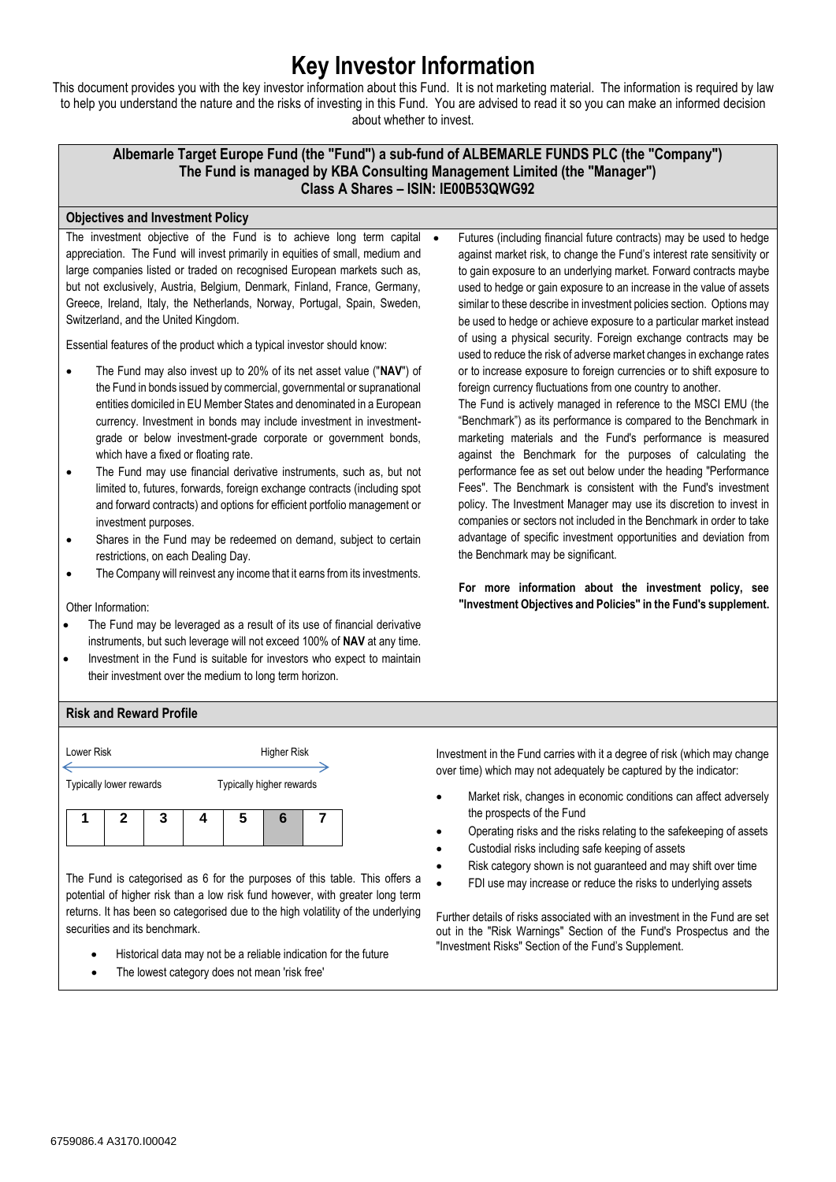# **Key Investor Information**

This document provides you with the key investor information about this Fund. It is not marketing material. The information is required by law to help you understand the nature and the risks of investing in this Fund. You are advised to read it so you can make an informed decision about whether to invest.

# **Albemarle Target Europe Fund (the "Fund") a sub-fund of ALBEMARLE FUNDS PLC (the "Company") The Fund is managed by KBA Consulting Management Limited (the "Manager") Class A Shares – ISIN: IE00B53QWG92**

## **Objectives and Investment Policy**

The investment objective of the Fund is to achieve long term capital appreciation. The Fund will invest primarily in equities of small, medium and large companies listed or traded on recognised European markets such as, but not exclusively, Austria, Belgium, Denmark, Finland, France, Germany, Greece, Ireland, Italy, the Netherlands, Norway, Portugal, Spain, Sweden, Switzerland, and the United Kingdom.

Essential features of the product which a typical investor should know:

- The Fund may also invest up to 20% of its net asset value ("**NAV**") of the Fund in bonds issued by commercial, governmental or supranational entities domiciled in EU Member States and denominated in a European currency. Investment in bonds may include investment in investmentgrade or below investment-grade corporate or government bonds, which have a fixed or floating rate.
- The Fund may use financial derivative instruments, such as, but not limited to, futures, forwards, foreign exchange contracts (including spot and forward contracts) and options for efficient portfolio management or investment purposes.
- Shares in the Fund may be redeemed on demand, subject to certain restrictions, on each Dealing Day.
- The Company will reinvest any income that it earns from its investments.

#### Other Information:

- The Fund may be leveraged as a result of its use of financial derivative instruments, but such leverage will not exceed 100% of **NAV** at any time.
- Investment in the Fund is suitable for investors who expect to maintain their investment over the medium to long term horizon.

• Futures (including financial future contracts) may be used to hedge against market risk, to change the Fund's interest rate sensitivity or to gain exposure to an underlying market. Forward contracts maybe used to hedge or gain exposure to an increase in the value of assets similar to these describe in investment policies section. Options may be used to hedge or achieve exposure to a particular market instead of using a physical security. Foreign exchange contracts may be used to reduce the risk of adverse market changes in exchange rates or to increase exposure to foreign currencies or to shift exposure to foreign currency fluctuations from one country to another.

The Fund is actively managed in reference to the MSCI EMU (the "Benchmark") as its performance is compared to the Benchmark in marketing materials and the Fund's performance is measured against the Benchmark for the purposes of calculating the performance fee as set out below under the heading "Performance Fees". The Benchmark is consistent with the Fund's investment policy. The Investment Manager may use its discretion to invest in companies or sectors not included in the Benchmark in order to take advantage of specific investment opportunities and deviation from the Benchmark may be significant.

**For more information about the investment policy, see "Investment Objectives and Policies" in the Fund's supplement.**

# **Risk and Reward Profile**



The Fund is categorised as 6 for the purposes of this table. This offers a potential of higher risk than a low risk fund however, with greater long term returns. It has been so categorised due to the high volatility of the underlying securities and its benchmark.

- Historical data may not be a reliable indication for the future
- The lowest category does not mean 'risk free'

Investment in the Fund carries with it a degree of risk (which may change over time) which may not adequately be captured by the indicator:

- Market risk, changes in economic conditions can affect adversely the prospects of the Fund
- Operating risks and the risks relating to the safekeeping of assets
- Custodial risks including safe keeping of assets
- Risk category shown is not guaranteed and may shift over time
- FDI use may increase or reduce the risks to underlying assets

Further details of risks associated with an investment in the Fund are set out in the "Risk Warnings" Section of the Fund's Prospectus and the "Investment Risks" Section of the Fund's Supplement.